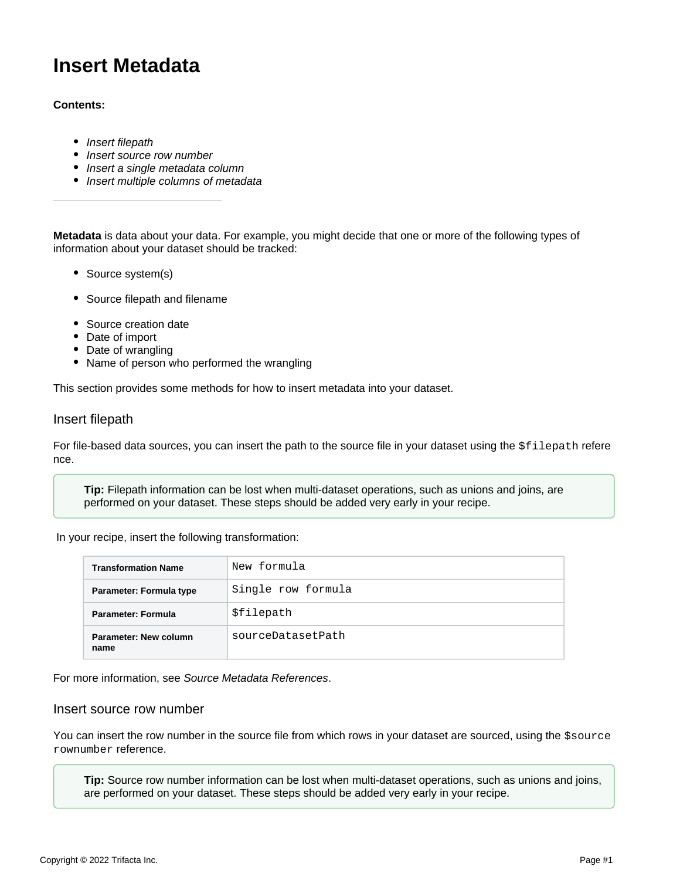# **Insert Metadata**

## **Contents:**

- [Insert filepath](#page-0-0)
- [Insert source row number](#page-0-1)
- [Insert a single metadata column](#page-1-0)
- [Insert multiple columns of metadata](#page-1-1)

**Metadata** is data about your data. For example, you might decide that one or more of the following types of information about your dataset should be tracked:

- Source system(s)
- Source filepath and filename
- Source creation date
- Date of import
- Date of wrangling
- Name of person who performed the wrangling

This section provides some methods for how to insert metadata into your dataset.

### <span id="page-0-0"></span>Insert filepath

For file-based data sources, you can insert the path to the source file in your dataset using the \$filepath refere nce.

**Tip:** Filepath information can be lost when multi-dataset operations, such as unions and joins, are performed on your dataset. These steps should be added very early in your recipe.

In your recipe, insert the following transformation:

| <b>Transformation Name</b>    | New formula        |
|-------------------------------|--------------------|
| Parameter: Formula type       | Single row formula |
| Parameter: Formula            | \$filepath         |
| Parameter: New column<br>name | sourceDatasetPath  |

For more information, see [Source Metadata References](https://docs.trifacta.com/display/r082/Source+Metadata+References).

## <span id="page-0-1"></span>Insert source row number

You can insert the row number in the source file from which rows in your dataset are sourced, using the  $$source$ rownumber reference.

**Tip:** Source row number information can be lost when multi-dataset operations, such as unions and joins, are performed on your dataset. These steps should be added very early in your recipe.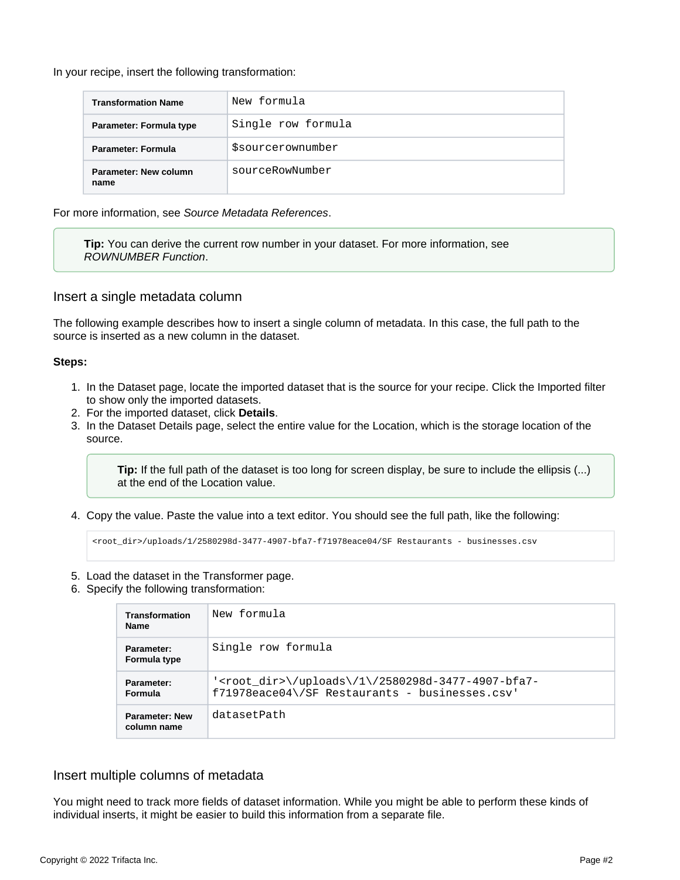In your recipe, insert the following transformation:

| <b>Transformation Name</b>           | New formula             |
|--------------------------------------|-------------------------|
| Parameter: Formula type              | Single row formula      |
| Parameter: Formula                   | <i>Ssourcerownumber</i> |
| <b>Parameter: New column</b><br>name | sourceRowNumber         |

For more information, see [Source Metadata References](https://docs.trifacta.com/display/r082/Source+Metadata+References).

**Tip:** You can derive the current row number in your dataset. For more information, see [ROWNUMBER Function](https://docs.trifacta.com/display/r082/ROWNUMBER+Function).

### <span id="page-1-0"></span>Insert a single metadata column

The following example describes how to insert a single column of metadata. In this case, the full path to the source is inserted as a new column in the dataset.

#### **Steps:**

- 1. In the Dataset page, locate the imported dataset that is the source for your recipe. Click the Imported filter to show only the imported datasets.
- 2. For the imported dataset, click **Details**.
- 3. In the Dataset Details page, select the entire value for the Location, which is the storage location of the source.

**Tip:** If the full path of the dataset is too long for screen display, be sure to include the ellipsis (...) at the end of the Location value.

4. Copy the value. Paste the value into a text editor. You should see the full path, like the following:

<root\_dir>/uploads/1/2580298d-3477-4907-bfa7-f71978eace04/SF Restaurants - businesses.csv

- 5. Load the dataset in the Transformer page.
- 6. Specify the following transformation:

| <b>Transformation</b><br><b>Name</b> | New formula                                                                                                                         |
|--------------------------------------|-------------------------------------------------------------------------------------------------------------------------------------|
| Parameter:<br>Formula type           | Single row formula                                                                                                                  |
| Parameter:<br><b>Formula</b>         | ' <root_dir>\/uploads\/1\/2580298d-3477-4907-bfa7-<br/><math>f71978eace04 \sqrt{SF}</math> Restaurants - businesses.csv'</root_dir> |
| <b>Parameter: New</b><br>column name | datasetPath                                                                                                                         |

### <span id="page-1-1"></span>Insert multiple columns of metadata

You might need to track more fields of dataset information. While you might be able to perform these kinds of individual inserts, it might be easier to build this information from a separate file.